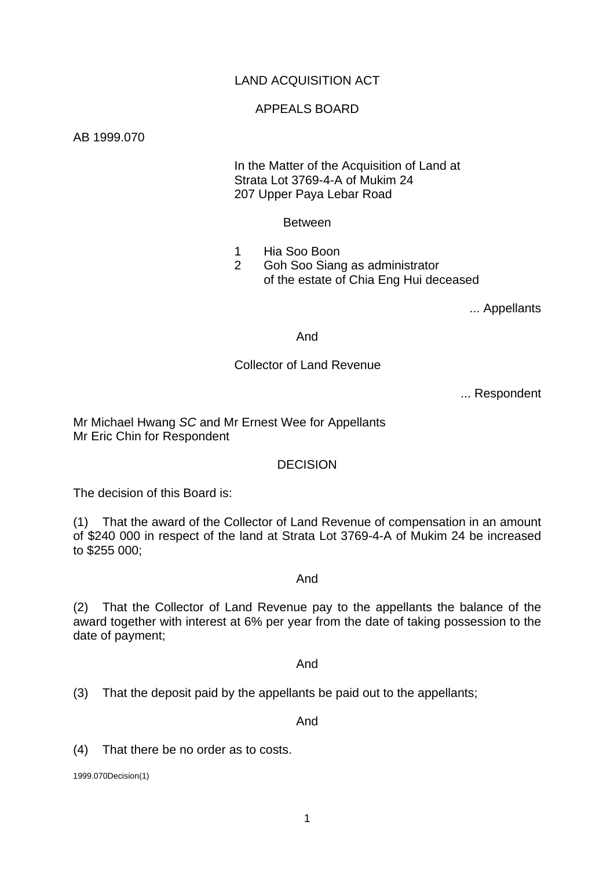# LAND ACQUISITION ACT

## APPEALS BOARD

AB 1999.070

 In the Matter of the Acquisition of Land at Strata Lot 3769-4-A of Mukim 24 207 Upper Paya Lebar Road

Between

 1 Hia Soo Boon 2 Goh Soo Siang as administrator

of the estate of Chia Eng Hui deceased

... Appellants

And

#### Collector of Land Revenue

... Respondent

Mr Michael Hwang *SC* and Mr Ernest Wee for Appellants Mr Eric Chin for Respondent

## **DECISION**

The decision of this Board is:

(1) That the award of the Collector of Land Revenue of compensation in an amount of \$240 000 in respect of the land at Strata Lot 3769-4-A of Mukim 24 be increased to \$255 000;

#### And

(2) That the Collector of Land Revenue pay to the appellants the balance of the award together with interest at 6% per year from the date of taking possession to the date of payment;

And

(3) That the deposit paid by the appellants be paid out to the appellants;

And

(4) That there be no order as to costs.

1999.070Decision(1)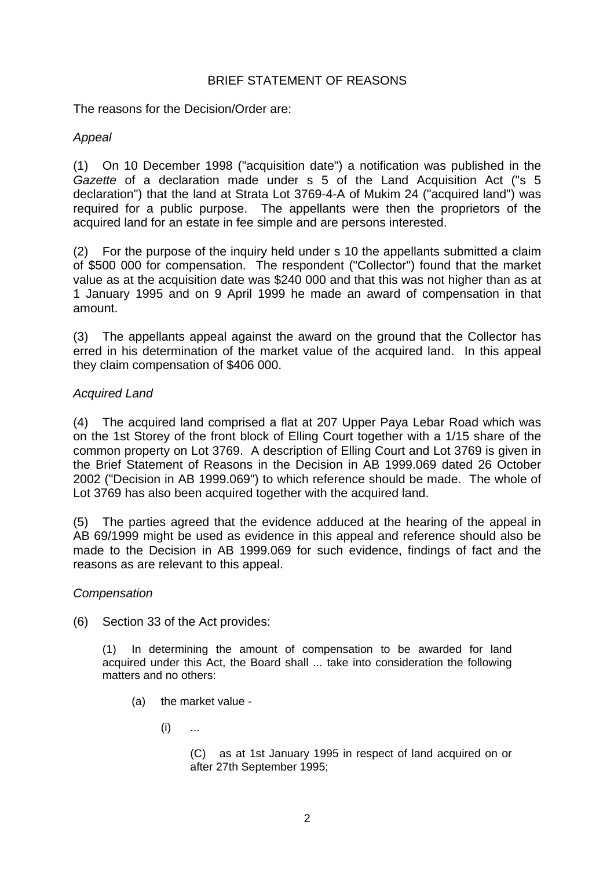## BRIEF STATEMENT OF REASONS

The reasons for the Decision/Order are:

# *Appeal*

(1) On 10 December 1998 ("acquisition date") a notification was published in the *Gazette* of a declaration made under s 5 of the Land Acquisition Act ("s 5 declaration") that the land at Strata Lot 3769-4-A of Mukim 24 ("acquired land") was required for a public purpose. The appellants were then the proprietors of the acquired land for an estate in fee simple and are persons interested.

(2) For the purpose of the inquiry held under s 10 the appellants submitted a claim of \$500 000 for compensation. The respondent ("Collector") found that the market value as at the acquisition date was \$240 000 and that this was not higher than as at 1 January 1995 and on 9 April 1999 he made an award of compensation in that amount.

(3) The appellants appeal against the award on the ground that the Collector has erred in his determination of the market value of the acquired land. In this appeal they claim compensation of \$406 000.

# *Acquired Land*

(4) The acquired land comprised a flat at 207 Upper Paya Lebar Road which was on the 1st Storey of the front block of Elling Court together with a 1/15 share of the common property on Lot 3769. A description of Elling Court and Lot 3769 is given in the Brief Statement of Reasons in the Decision in AB 1999.069 dated 26 October 2002 ("Decision in AB 1999.069") to which reference should be made. The whole of Lot 3769 has also been acquired together with the acquired land.

(5) The parties agreed that the evidence adduced at the hearing of the appeal in AB 69/1999 might be used as evidence in this appeal and reference should also be made to the Decision in AB 1999.069 for such evidence, findings of fact and the reasons as are relevant to this appeal.

## *Compensation*

(6) Section 33 of the Act provides:

(1) In determining the amount of compensation to be awarded for land acquired under this Act, the Board shall ... take into consideration the following matters and no others:

- (a) the market value
	- $(i)$  ...

(C) as at 1st January 1995 in respect of land acquired on or after 27th September 1995;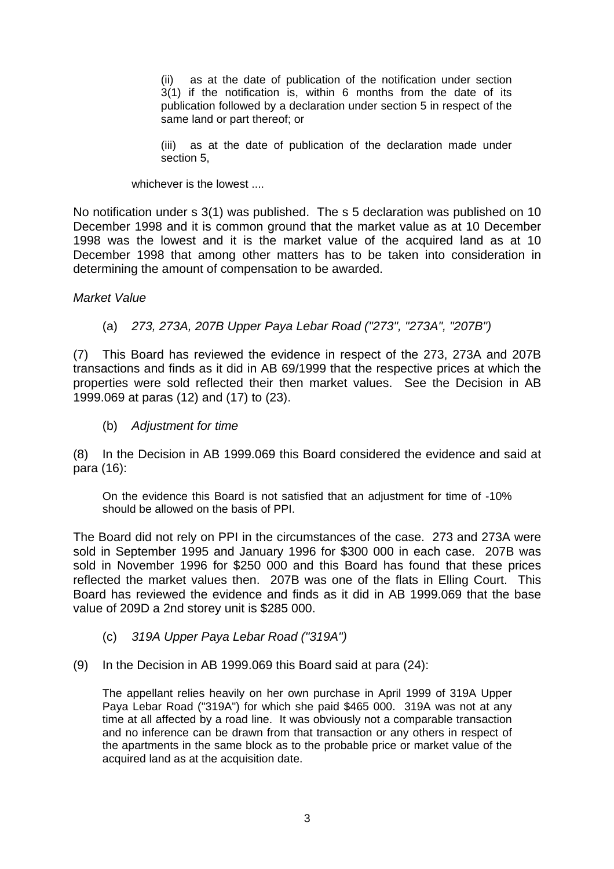(ii) as at the date of publication of the notification under section 3(1) if the notification is, within 6 months from the date of its publication followed by a declaration under section 5 in respect of the same land or part thereof; or

(iii) as at the date of publication of the declaration made under section 5,

whichever is the lowest ....

No notification under s 3(1) was published. The s 5 declaration was published on 10 December 1998 and it is common ground that the market value as at 10 December 1998 was the lowest and it is the market value of the acquired land as at 10 December 1998 that among other matters has to be taken into consideration in determining the amount of compensation to be awarded.

#### *Market Value*

(a) *273, 273A, 207B Upper Paya Lebar Road ("273", "273A", "207B")* 

(7) This Board has reviewed the evidence in respect of the 273, 273A and 207B transactions and finds as it did in AB 69/1999 that the respective prices at which the properties were sold reflected their then market values. See the Decision in AB 1999.069 at paras (12) and (17) to (23).

(b) *Adjustment for time* 

(8) In the Decision in AB 1999.069 this Board considered the evidence and said at para (16):

On the evidence this Board is not satisfied that an adjustment for time of -10% should be allowed on the basis of PPI.

The Board did not rely on PPI in the circumstances of the case. 273 and 273A were sold in September 1995 and January 1996 for \$300 000 in each case. 207B was sold in November 1996 for \$250 000 and this Board has found that these prices reflected the market values then. 207B was one of the flats in Elling Court. This Board has reviewed the evidence and finds as it did in AB 1999.069 that the base value of 209D a 2nd storey unit is \$285 000.

- (c) *319A Upper Paya Lebar Road ("319A")*
- (9) In the Decision in AB 1999.069 this Board said at para (24):

The appellant relies heavily on her own purchase in April 1999 of 319A Upper Paya Lebar Road ("319A") for which she paid \$465 000. 319A was not at any time at all affected by a road line. It was obviously not a comparable transaction and no inference can be drawn from that transaction or any others in respect of the apartments in the same block as to the probable price or market value of the acquired land as at the acquisition date.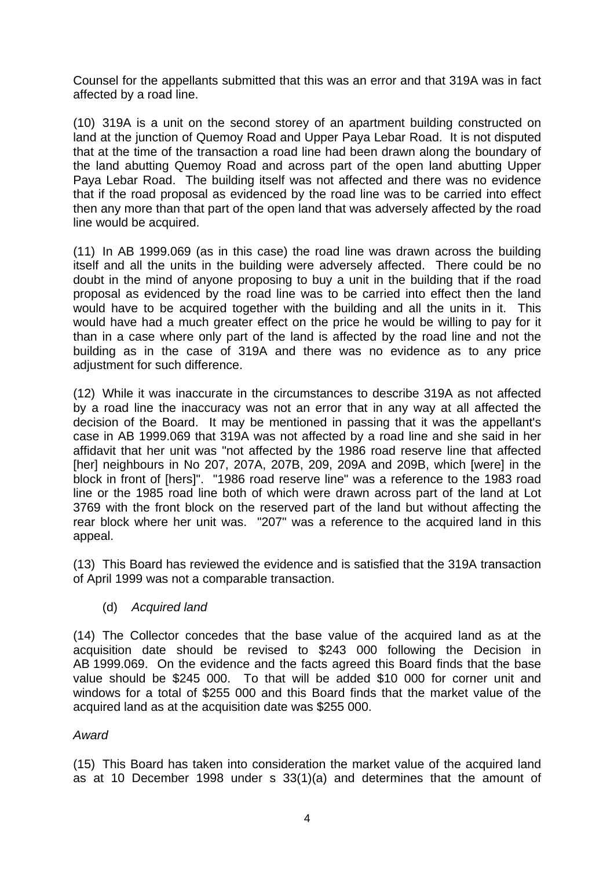Counsel for the appellants submitted that this was an error and that 319A was in fact affected by a road line.

(10) 319A is a unit on the second storey of an apartment building constructed on land at the junction of Quemoy Road and Upper Paya Lebar Road. It is not disputed that at the time of the transaction a road line had been drawn along the boundary of the land abutting Quemoy Road and across part of the open land abutting Upper Paya Lebar Road. The building itself was not affected and there was no evidence that if the road proposal as evidenced by the road line was to be carried into effect then any more than that part of the open land that was adversely affected by the road line would be acquired.

(11) In AB 1999.069 (as in this case) the road line was drawn across the building itself and all the units in the building were adversely affected. There could be no doubt in the mind of anyone proposing to buy a unit in the building that if the road proposal as evidenced by the road line was to be carried into effect then the land would have to be acquired together with the building and all the units in it. This would have had a much greater effect on the price he would be willing to pay for it than in a case where only part of the land is affected by the road line and not the building as in the case of 319A and there was no evidence as to any price adjustment for such difference.

(12) While it was inaccurate in the circumstances to describe 319A as not affected by a road line the inaccuracy was not an error that in any way at all affected the decision of the Board. It may be mentioned in passing that it was the appellant's case in AB 1999.069 that 319A was not affected by a road line and she said in her affidavit that her unit was "not affected by the 1986 road reserve line that affected [her] neighbours in No 207, 207A, 207B, 209, 209A and 209B, which [were] in the block in front of [hers]". "1986 road reserve line" was a reference to the 1983 road line or the 1985 road line both of which were drawn across part of the land at Lot 3769 with the front block on the reserved part of the land but without affecting the rear block where her unit was. "207" was a reference to the acquired land in this appeal.

(13) This Board has reviewed the evidence and is satisfied that the 319A transaction of April 1999 was not a comparable transaction.

(d) *Acquired land* 

(14) The Collector concedes that the base value of the acquired land as at the acquisition date should be revised to \$243 000 following the Decision in AB 1999.069. On the evidence and the facts agreed this Board finds that the base value should be \$245 000. To that will be added \$10 000 for corner unit and windows for a total of \$255 000 and this Board finds that the market value of the acquired land as at the acquisition date was \$255 000.

## *Award*

(15) This Board has taken into consideration the market value of the acquired land as at 10 December 1998 under s 33(1)(a) and determines that the amount of